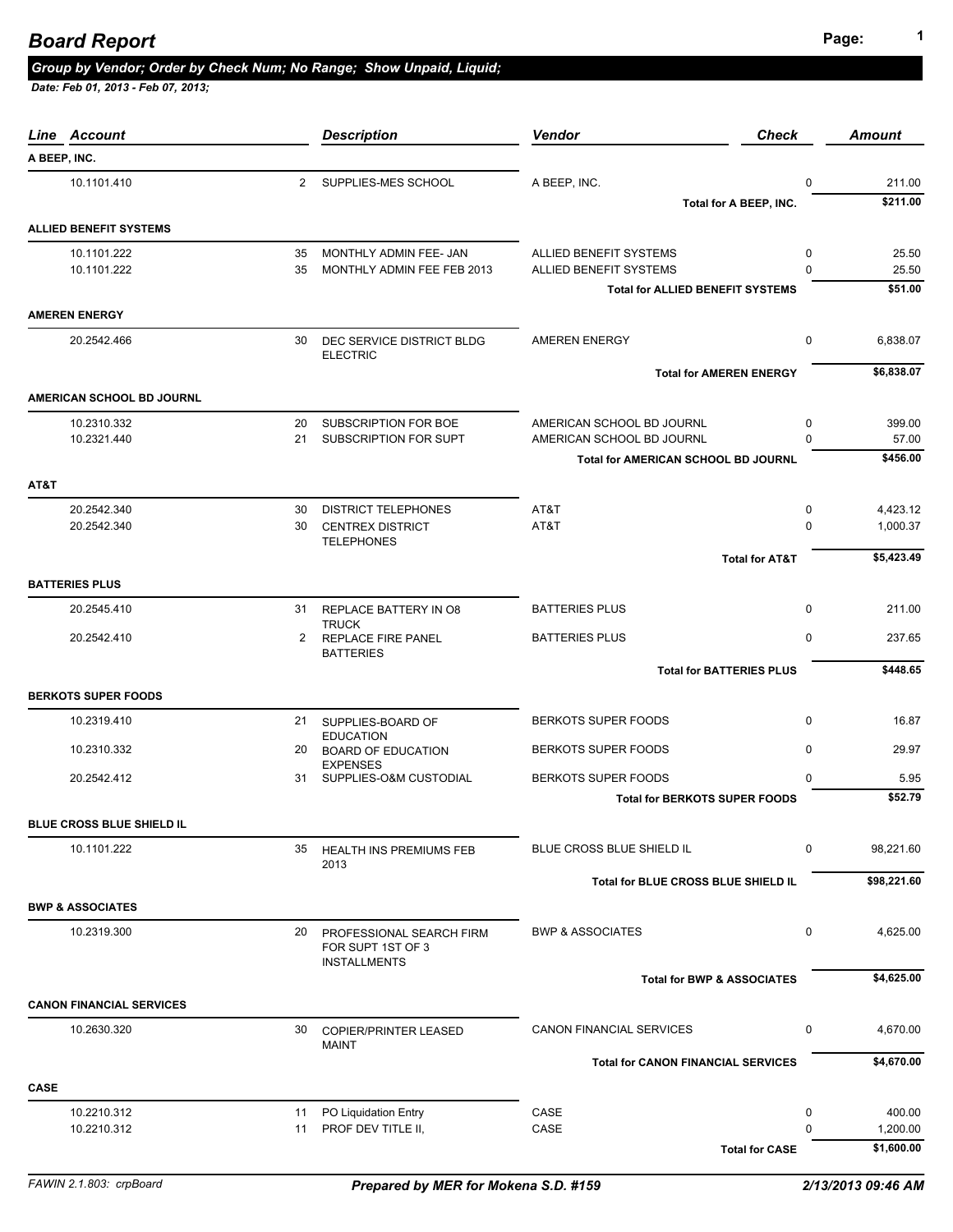| Line Account                    |    | <b>Description</b>                           | <b>Vendor</b>                             | <b>Check</b>              | <b>Amount</b> |
|---------------------------------|----|----------------------------------------------|-------------------------------------------|---------------------------|---------------|
| A BEEP. INC.                    |    |                                              |                                           |                           |               |
| 10.1101.410                     |    | 2 SUPPLIES-MES SCHOOL                        | A BEEP, INC.                              | $\Omega$                  | 211.00        |
|                                 |    |                                              |                                           | Total for A BEEP, INC.    | \$211.00      |
| <b>ALLIED BENEFIT SYSTEMS</b>   |    |                                              |                                           |                           |               |
| 10.1101.222                     | 35 | MONTHLY ADMIN FEE- JAN                       | ALLIED BENEFIT SYSTEMS                    | 0                         | 25.50         |
| 10.1101.222                     | 35 | MONTHLY ADMIN FEE FEB 2013                   | ALLIED BENEFIT SYSTEMS                    | $\Omega$                  | 25.50         |
|                                 |    |                                              | <b>Total for ALLIED BENEFIT SYSTEMS</b>   |                           | \$51.00       |
| <b>AMEREN ENERGY</b>            |    |                                              |                                           |                           |               |
| 20.2542.466                     | 30 | DEC SERVICE DISTRICT BLDG                    | <b>AMEREN ENERGY</b>                      | $\mathbf 0$               | 6,838.07      |
|                                 |    | <b>ELECTRIC</b>                              |                                           |                           |               |
|                                 |    |                                              | <b>Total for AMEREN ENERGY</b>            |                           | \$6,838.07    |
| AMERICAN SCHOOL BD JOURNL       |    |                                              |                                           |                           |               |
| 10.2310.332                     | 20 | SUBSCRIPTION FOR BOE                         | AMERICAN SCHOOL BD JOURNL                 | 0                         | 399.00        |
| 10.2321.440                     | 21 | <b>SUBSCRIPTION FOR SUPT</b>                 | AMERICAN SCHOOL BD JOURNL                 | $\Omega$                  | 57.00         |
|                                 |    |                                              | Total for AMERICAN SCHOOL BD JOURNL       |                           | \$456.00      |
| AT&T                            |    |                                              |                                           |                           |               |
| 20.2542.340                     | 30 | <b>DISTRICT TELEPHONES</b>                   | AT&T                                      | 0                         | 4,423.12      |
| 20.2542.340                     | 30 | <b>CENTREX DISTRICT</b>                      | AT&T                                      | $\Omega$                  | 1,000.37      |
|                                 |    | <b>TELEPHONES</b>                            |                                           |                           |               |
|                                 |    |                                              |                                           | <b>Total for AT&amp;T</b> | \$5,423.49    |
| <b>BATTERIES PLUS</b>           |    |                                              |                                           |                           |               |
| 20.2545.410                     | 31 | <b>REPLACE BATTERY IN O8</b><br><b>TRUCK</b> | <b>BATTERIES PLUS</b>                     | 0                         | 211.00        |
| 20.2542.410                     |    | 2 REPLACE FIRE PANEL<br><b>BATTERIES</b>     | <b>BATTERIES PLUS</b>                     | $\Omega$                  | 237.65        |
|                                 |    |                                              | <b>Total for BATTERIES PLUS</b>           |                           | \$448.65      |
| <b>BERKOTS SUPER FOODS</b>      |    |                                              |                                           |                           |               |
| 10.2319.410                     |    | 21 SUPPLIES-BOARD OF                         | <b>BERKOTS SUPER FOODS</b>                | 0                         | 16.87         |
|                                 |    | <b>EDUCATION</b>                             |                                           |                           |               |
| 10.2310.332                     | 20 | <b>BOARD OF EDUCATION</b><br><b>EXPENSES</b> | BERKOTS SUPER FOODS                       | $\Omega$                  | 29.97         |
| 20.2542.412                     | 31 | SUPPLIES-O&M CUSTODIAL                       | BERKOTS SUPER FOODS                       | $\Omega$                  | 5.95          |
|                                 |    |                                              | <b>Total for BERKOTS SUPER FOODS</b>      |                           | \$52.79       |
| BLUE CROSS BLUE SHIELD IL       |    |                                              |                                           |                           |               |
| 10.1101.222                     | 35 | <b>HEALTH INS PREMIUMS FEB</b>               | BLUE CROSS BLUE SHIELD IL                 | 0                         | 98.221.60     |
|                                 |    | 2013                                         |                                           |                           |               |
|                                 |    |                                              | Total for BLUE CROSS BLUE SHIELD IL       |                           | \$98,221.60   |
| <b>BWP &amp; ASSOCIATES</b>     |    |                                              |                                           |                           |               |
| 10.2319.300                     | 20 | PROFESSIONAL SEARCH FIRM                     | <b>BWP &amp; ASSOCIATES</b>               | 0                         | 4,625.00      |
|                                 |    | FOR SUPT 1ST OF 3<br><b>INSTALLMENTS</b>     |                                           |                           |               |
|                                 |    |                                              | <b>Total for BWP &amp; ASSOCIATES</b>     |                           | \$4,625.00    |
| <b>CANON FINANCIAL SERVICES</b> |    |                                              |                                           |                           |               |
| 10.2630.320                     | 30 | <b>COPIER/PRINTER LEASED</b>                 | <b>CANON FINANCIAL SERVICES</b>           | 0                         | 4,670.00      |
|                                 |    | <b>MAINT</b>                                 |                                           |                           |               |
|                                 |    |                                              | <b>Total for CANON FINANCIAL SERVICES</b> |                           | \$4,670.00    |
| CASE                            |    |                                              |                                           |                           |               |
| 10.2210.312                     | 11 | PO Liquidation Entry                         | CASE                                      | 0                         | 400.00        |
| 10.2210.312                     | 11 | PROF DEV TITLE II,                           | CASE                                      | $\Omega$                  | 1,200.00      |
|                                 |    |                                              |                                           | <b>Total for CASE</b>     | \$1,600.00    |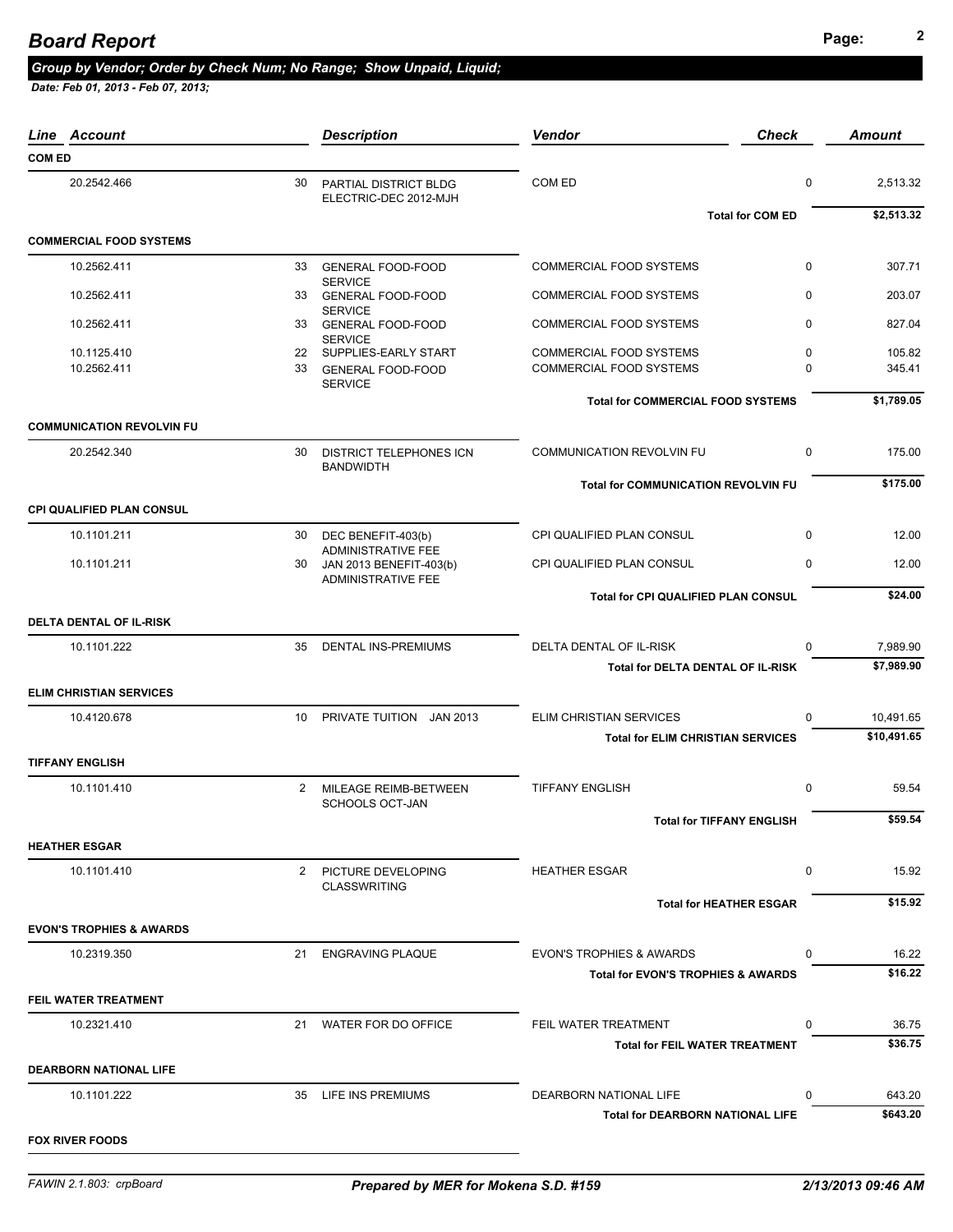|               | Line Account                        |              | <b>Description</b>                                                                | <b>Vendor</b>                                      | <b>Check</b>         | <b>Amount</b>    |
|---------------|-------------------------------------|--------------|-----------------------------------------------------------------------------------|----------------------------------------------------|----------------------|------------------|
| <b>COM ED</b> |                                     |              |                                                                                   |                                                    |                      |                  |
|               | 20.2542.466                         | 30           | PARTIAL DISTRICT BLDG<br>ELECTRIC-DEC 2012-MJH                                    | COM ED                                             | $\mathbf 0$          | 2,513.32         |
|               |                                     |              |                                                                                   | <b>Total for COM ED</b>                            |                      | \$2,513.32       |
|               | <b>COMMERCIAL FOOD SYSTEMS</b>      |              |                                                                                   |                                                    |                      |                  |
|               | 10.2562.411                         | 33           | <b>GENERAL FOOD-FOOD</b><br><b>SERVICE</b>                                        | COMMERCIAL FOOD SYSTEMS                            | $\mathbf 0$          | 307.71           |
|               | 10.2562.411                         |              | 33 GENERAL FOOD-FOOD<br><b>SERVICE</b>                                            | COMMERCIAL FOOD SYSTEMS                            | $\Omega$             | 203.07           |
|               | 10.2562.411                         |              | 33 GENERAL FOOD-FOOD<br><b>SERVICE</b>                                            | COMMERCIAL FOOD SYSTEMS                            | $\Omega$             | 827.04           |
|               | 10.1125.410<br>10.2562.411          | 33           | 22 SUPPLIES-EARLY START<br><b>GENERAL FOOD-FOOD</b><br><b>SERVICE</b>             | COMMERCIAL FOOD SYSTEMS<br>COMMERCIAL FOOD SYSTEMS | $\Omega$<br>$\Omega$ | 105.82<br>345.41 |
|               |                                     |              |                                                                                   | <b>Total for COMMERCIAL FOOD SYSTEMS</b>           |                      | \$1,789.05       |
|               | <b>COMMUNICATION REVOLVIN FU</b>    |              |                                                                                   |                                                    |                      |                  |
|               | 20.2542.340                         | 30           | <b>DISTRICT TELEPHONES ICN</b><br><b>BANDWIDTH</b>                                | COMMUNICATION REVOLVIN FU                          | $\mathbf 0$          | 175.00           |
|               |                                     |              |                                                                                   | <b>Total for COMMUNICATION REVOLVIN FU</b>         |                      | \$175.00         |
|               | CPI QUALIFIED PLAN CONSUL           |              |                                                                                   |                                                    |                      |                  |
|               | 10.1101.211                         | 30           | DEC BENEFIT-403(b)                                                                | CPI QUALIFIED PLAN CONSUL                          | $\mathbf 0$          | 12.00            |
|               | 10.1101.211                         | 30           | <b>ADMINISTRATIVE FEE</b><br>JAN 2013 BENEFIT-403(b)<br><b>ADMINISTRATIVE FEE</b> | CPI QUALIFIED PLAN CONSUL                          | 0                    | 12.00            |
|               |                                     |              |                                                                                   | Total for CPI QUALIFIED PLAN CONSUL                |                      | \$24.00          |
|               | <b>DELTA DENTAL OF IL-RISK</b>      |              |                                                                                   |                                                    |                      |                  |
|               | 10.1101.222                         | 35           | <b>DENTAL INS-PREMIUMS</b>                                                        | DELTA DENTAL OF IL-RISK                            | 0                    | 7,989.90         |
|               |                                     |              |                                                                                   | Total for DELTA DENTAL OF IL-RISK                  |                      | \$7,989.90       |
|               | <b>ELIM CHRISTIAN SERVICES</b>      |              |                                                                                   |                                                    |                      |                  |
|               | 10.4120.678                         | 10           | PRIVATE TUITION JAN 2013                                                          | <b>ELIM CHRISTIAN SERVICES</b>                     | $\Omega$             | 10,491.65        |
|               |                                     |              |                                                                                   | <b>Total for ELIM CHRISTIAN SERVICES</b>           |                      | \$10,491.65      |
|               | <b>TIFFANY ENGLISH</b>              |              |                                                                                   |                                                    |                      |                  |
|               | 10.1101.410                         | $\mathbf{2}$ | MILEAGE REIMB-BETWEEN<br><b>SCHOOLS OCT-JAN</b>                                   | <b>TIFFANY ENGLISH</b>                             | 0                    | 59.54            |
|               |                                     |              |                                                                                   | <b>Total for TIFFANY ENGLISH</b>                   |                      | \$59.54          |
|               | <b>HEATHER ESGAR</b>                |              |                                                                                   |                                                    |                      |                  |
|               | 10.1101.410                         |              | 2 PICTURE DEVELOPING<br><b>CLASSWRITING</b>                                       | <b>HEATHER ESGAR</b>                               | $\mathbf 0$          | 15.92            |
|               |                                     |              |                                                                                   | <b>Total for HEATHER ESGAR</b>                     |                      | \$15.92          |
|               | <b>EVON'S TROPHIES &amp; AWARDS</b> |              |                                                                                   |                                                    |                      |                  |
|               | 10.2319.350                         | 21           | <b>ENGRAVING PLAQUE</b>                                                           | <b>EVON'S TROPHIES &amp; AWARDS</b>                | 0                    | 16.22            |
|               |                                     |              |                                                                                   | Total for EVON'S TROPHIES & AWARDS                 |                      | \$16.22          |
|               | FEIL WATER TREATMENT                |              |                                                                                   |                                                    |                      |                  |
|               | 10.2321.410                         |              | 21 WATER FOR DO OFFICE                                                            | FEIL WATER TREATMENT                               | $\Omega$             | 36.75            |
|               |                                     |              |                                                                                   | <b>Total for FEIL WATER TREATMENT</b>              |                      | \$36.75          |
|               | <b>DEARBORN NATIONAL LIFE</b>       |              |                                                                                   |                                                    |                      |                  |
|               | 10.1101.222                         |              | 35 LIFE INS PREMIUMS                                                              | DEARBORN NATIONAL LIFE                             | 0                    | 643.20           |
|               |                                     |              |                                                                                   | <b>Total for DEARBORN NATIONAL LIFE</b>            |                      | \$643.20         |
|               | <b>FOX RIVER FOODS</b>              |              |                                                                                   |                                                    |                      |                  |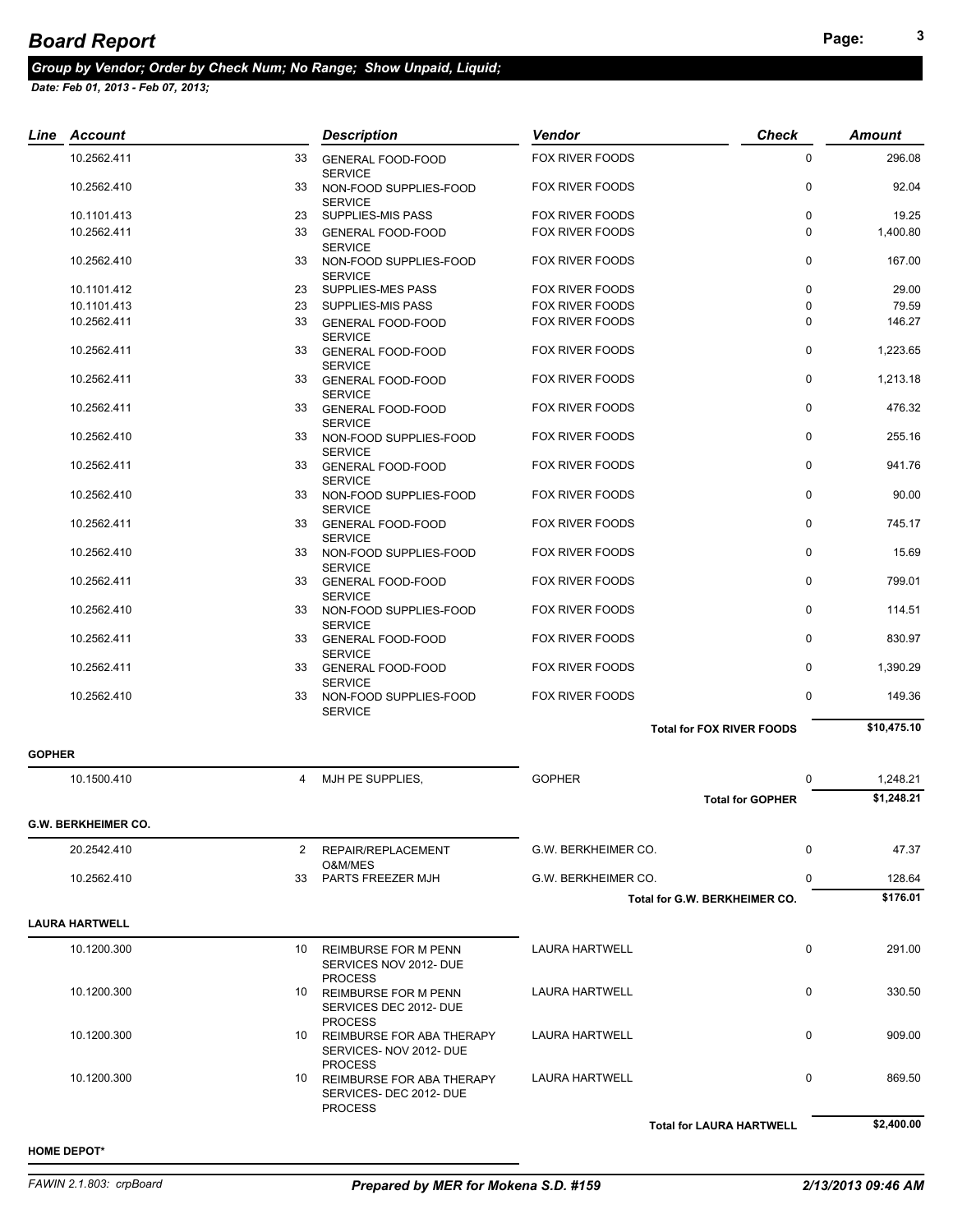*Date: Feb 01, 2013 - Feb 07, 2013;* 

|               | Line Account               |                | <b>Description</b>                                                        | Vendor                                    | <b>Check</b>                     | <b>Amount</b>     |
|---------------|----------------------------|----------------|---------------------------------------------------------------------------|-------------------------------------------|----------------------------------|-------------------|
|               | 10.2562.411                | 33             | <b>GENERAL FOOD-FOOD</b>                                                  | FOX RIVER FOODS                           | $\mathbf 0$                      | 296.08            |
|               | 10.2562.410                | 33             | <b>SERVICE</b><br>NON-FOOD SUPPLIES-FOOD                                  | FOX RIVER FOODS                           | $\mathbf 0$                      | 92.04             |
|               |                            |                | <b>SERVICE</b>                                                            |                                           |                                  |                   |
|               | 10.1101.413<br>10.2562.411 |                | 23 SUPPLIES-MIS PASS<br>33 GENERAL FOOD-FOOD                              | FOX RIVER FOODS<br><b>FOX RIVER FOODS</b> | 0<br>$\Omega$                    | 19.25<br>1,400.80 |
|               | 10.2562.410                |                | <b>SERVICE</b><br>33 NON-FOOD SUPPLIES-FOOD                               | FOX RIVER FOODS                           | $\mathbf 0$                      | 167.00            |
|               | 10.1101.412                |                | <b>SERVICE</b><br>23 SUPPLIES-MES PASS                                    | <b>FOX RIVER FOODS</b>                    | $\mathbf 0$                      | 29.00             |
|               | 10.1101.413                |                | 23 SUPPLIES-MIS PASS                                                      | FOX RIVER FOODS                           | $\mathbf 0$                      | 79.59             |
|               | 10.2562.411                |                |                                                                           | <b>FOX RIVER FOODS</b>                    | $\Omega$                         | 146.27            |
|               |                            |                | 33 GENERAL FOOD-FOOD<br><b>SERVICE</b>                                    |                                           |                                  |                   |
|               | 10.2562.411                |                | 33 GENERAL FOOD-FOOD<br><b>SERVICE</b>                                    | FOX RIVER FOODS                           | $\mathbf 0$                      | 1,223.65          |
|               | 10.2562.411                |                | 33 GENERAL FOOD-FOOD<br><b>SERVICE</b>                                    | FOX RIVER FOODS                           | $\mathbf 0$                      | 1,213.18          |
|               | 10.2562.411                |                | 33 GENERAL FOOD-FOOD<br><b>SERVICE</b>                                    | <b>FOX RIVER FOODS</b>                    | 0                                | 476.32            |
|               | 10.2562.410                |                | 33 NON-FOOD SUPPLIES-FOOD<br><b>SERVICE</b>                               | <b>FOX RIVER FOODS</b>                    | $\mathbf 0$                      | 255.16            |
|               | 10.2562.411                |                | 33 GENERAL FOOD-FOOD<br><b>SERVICE</b>                                    | FOX RIVER FOODS                           | $\mathbf 0$                      | 941.76            |
|               | 10.2562.410                | 33             | NON-FOOD SUPPLIES-FOOD                                                    | FOX RIVER FOODS                           | $\mathbf 0$                      | 90.00             |
|               | 10.2562.411                |                | <b>SERVICE</b><br>33 GENERAL FOOD-FOOD                                    | FOX RIVER FOODS                           | 0                                | 745.17            |
|               | 10.2562.410                |                | <b>SERVICE</b><br>33 NON-FOOD SUPPLIES-FOOD                               | FOX RIVER FOODS                           | $\mathbf 0$                      | 15.69             |
|               | 10.2562.411                |                | <b>SERVICE</b><br>33 GENERAL FOOD-FOOD                                    | <b>FOX RIVER FOODS</b>                    | $\mathbf 0$                      | 799.01            |
|               | 10.2562.410                |                | <b>SERVICE</b><br>33 NON-FOOD SUPPLIES-FOOD                               | <b>FOX RIVER FOODS</b>                    | $\Omega$                         | 114.51            |
|               | 10.2562.411                |                | <b>SERVICE</b><br>33 GENERAL FOOD-FOOD                                    | FOX RIVER FOODS                           | $\Omega$                         | 830.97            |
|               | 10.2562.411                |                | <b>SERVICE</b><br>33 GENERAL FOOD-FOOD                                    | <b>FOX RIVER FOODS</b>                    | $\mathbf 0$                      | 1,390.29          |
|               | 10.2562.410                |                | <b>SERVICE</b><br>33 NON-FOOD SUPPLIES-FOOD                               | FOX RIVER FOODS                           | 0                                | 149.36            |
|               |                            |                | <b>SERVICE</b>                                                            |                                           |                                  | \$10,475.10       |
|               |                            |                |                                                                           |                                           | <b>Total for FOX RIVER FOODS</b> |                   |
| <b>GOPHER</b> | 10.1500.410                | $\overline{4}$ | MJH PE SUPPLIES,                                                          | <b>GOPHER</b>                             | $\Omega$                         | 1,248.21          |
|               |                            |                |                                                                           |                                           | <b>Total for GOPHER</b>          | \$1,248.21        |
|               | <b>G.W. BERKHEIMER CO.</b> |                |                                                                           |                                           |                                  |                   |
|               | 20.2542.410                |                | 2 REPAIR/REPLACEMENT                                                      | G.W. BERKHEIMER CO.                       | 0                                | 47.37             |
|               | 10.2562.410                |                | O&M/MES<br>33 PARTS FREEZER MJH                                           | G.W. BERKHEIMER CO.                       | 0                                | 128.64            |
|               |                            |                |                                                                           |                                           | Total for G.W. BERKHEIMER CO.    | \$176.01          |
|               | <b>LAURA HARTWELL</b>      |                |                                                                           |                                           |                                  |                   |
|               |                            |                |                                                                           |                                           |                                  |                   |
|               | 10.1200.300                |                | 10 REIMBURSE FOR M PENN<br>SERVICES NOV 2012- DUE                         | <b>LAURA HARTWELL</b>                     | $\mathbf 0$                      | 291.00            |
|               | 10.1200.300                |                | <b>PROCESS</b><br>10 REIMBURSE FOR M PENN<br>SERVICES DEC 2012- DUE       | <b>LAURA HARTWELL</b>                     | $\mathbf 0$                      | 330.50            |
|               | 10.1200.300                |                | <b>PROCESS</b><br>10 REIMBURSE FOR ABA THERAPY<br>SERVICES- NOV 2012- DUE | LAURA HARTWELL                            | $\mathbf 0$                      | 909.00            |
|               | 10.1200.300                |                | <b>PROCESS</b><br>10 REIMBURSE FOR ABA THERAPY<br>SERVICES- DEC 2012- DUE | <b>LAURA HARTWELL</b>                     | $\mathbf 0$                      | 869.50            |
|               |                            |                | <b>PROCESS</b>                                                            |                                           | <b>Total for LAURA HARTWELL</b>  | \$2,400.00        |
|               |                            |                |                                                                           |                                           |                                  |                   |

### **HOME DEPOT\***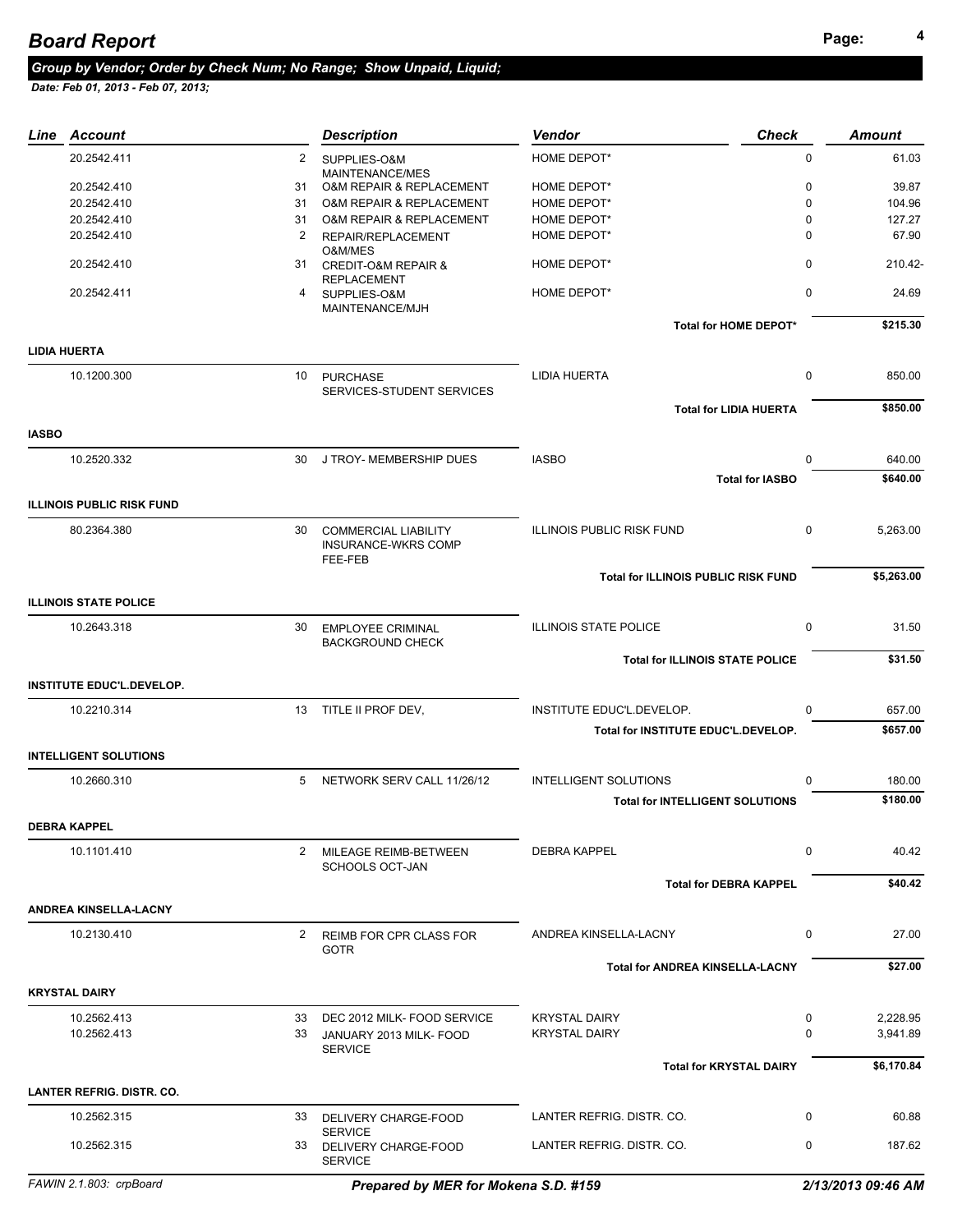## **Page: <sup>4</sup>** *Board Report*

#### *Group by Vendor; Order by Check Num; No Range; Show Unpaid, Liquid;*

| Line         | Account                          |              | <b>Description</b>                                        | <b>Vendor</b>                              | <b>Check</b>   | <b>Amount</b>      |
|--------------|----------------------------------|--------------|-----------------------------------------------------------|--------------------------------------------|----------------|--------------------|
|              | 20.2542.411                      | 2            | SUPPLIES-O&M                                              | HOME DEPOT*                                | $\mathbf 0$    | 61.03              |
|              |                                  |              | MAINTENANCE/MES                                           |                                            |                |                    |
|              | 20.2542.410                      | 31           | O&M REPAIR & REPLACEMENT                                  | HOME DEPOT*                                | $\pmb{0}$<br>0 | 39.87              |
|              | 20.2542.410                      | 31           | <b>O&amp;M REPAIR &amp; REPLACEMENT</b>                   | HOME DEPOT*                                |                | 104.96             |
|              | 20.2542.410<br>20.2542.410       | 31<br>2      | O&M REPAIR & REPLACEMENT<br>REPAIR/REPLACEMENT            | HOME DEPOT*<br>HOME DEPOT*                 | 0<br>0         | 127.27<br>67.90    |
|              | 20.2542.410                      |              | O&M/MES<br>31 CREDIT-O&M REPAIR &                         | HOME DEPOT*                                | $\mathbf 0$    | 210.42-            |
|              | 20.2542.411                      | 4            | <b>REPLACEMENT</b><br>SUPPLIES-O&M                        | HOME DEPOT*                                | 0              | 24.69              |
|              |                                  |              | MAINTENANCE/MJH                                           | Total for HOME DEPOT*                      |                | \$215.30           |
|              | <b>LIDIA HUERTA</b>              |              |                                                           |                                            |                |                    |
|              | 10.1200.300                      | 10           | <b>PURCHASE</b>                                           | <b>LIDIA HUERTA</b>                        | 0              | 850.00             |
|              |                                  |              | SERVICES-STUDENT SERVICES                                 |                                            |                |                    |
|              |                                  |              |                                                           | <b>Total for LIDIA HUERTA</b>              |                | \$850.00           |
| <b>IASBO</b> |                                  |              |                                                           |                                            |                |                    |
|              | 10.2520.332                      | 30           | J TROY- MEMBERSHIP DUES                                   | <b>IASBO</b><br><b>Total for IASBO</b>     | 0              | 640.00<br>\$640.00 |
|              | <b>ILLINOIS PUBLIC RISK FUND</b> |              |                                                           |                                            |                |                    |
|              |                                  |              |                                                           |                                            |                |                    |
|              | 80.2364.380                      | 30           | <b>COMMERCIAL LIABILITY</b><br><b>INSURANCE-WKRS COMP</b> | <b>ILLINOIS PUBLIC RISK FUND</b>           | 0              | 5,263.00           |
|              |                                  |              | FEE-FEB                                                   | <b>Total for ILLINOIS PUBLIC RISK FUND</b> |                | \$5,263.00         |
|              | <b>ILLINOIS STATE POLICE</b>     |              |                                                           |                                            |                |                    |
|              | 10.2643.318                      | 30           | <b>EMPLOYEE CRIMINAL</b>                                  | <b>ILLINOIS STATE POLICE</b>               | 0              | 31.50              |
|              |                                  |              | <b>BACKGROUND CHECK</b>                                   |                                            |                |                    |
|              |                                  |              |                                                           | <b>Total for ILLINOIS STATE POLICE</b>     |                | \$31.50            |
|              | <b>INSTITUTE EDUC'L.DEVELOP.</b> |              |                                                           |                                            |                |                    |
|              | 10.2210.314                      |              | 13 TITLE II PROF DEV,                                     | INSTITUTE EDUC'L.DEVELOP.                  | 0              | 657.00             |
|              |                                  |              |                                                           | Total for INSTITUTE EDUC'L.DEVELOP.        |                | \$657.00           |
|              | <b>INTELLIGENT SOLUTIONS</b>     |              |                                                           |                                            |                |                    |
|              | 10.2660.310                      | 5            | NETWORK SERV CALL 11/26/12                                | <b>INTELLIGENT SOLUTIONS</b>               | 0              | 180.00             |
|              |                                  |              |                                                           | <b>Total for INTELLIGENT SOLUTIONS</b>     |                | \$180.00           |
|              | <b>DEBRA KAPPEL</b>              |              |                                                           |                                            |                |                    |
|              | 10.1101.410                      | $\mathbf{2}$ | MILEAGE REIMB-BETWEEN<br><b>SCHOOLS OCT-JAN</b>           | <b>DEBRA KAPPEL</b>                        | 0              | 40.42              |
|              |                                  |              |                                                           | <b>Total for DEBRA KAPPEL</b>              |                | \$40.42            |
|              | <b>ANDREA KINSELLA-LACNY</b>     |              |                                                           |                                            |                |                    |
|              | 10.2130.410                      | $2^{\circ}$  | <b>REIMB FOR CPR CLASS FOR</b><br><b>GOTR</b>             | ANDREA KINSELLA-LACNY                      | 0              | 27.00              |
|              |                                  |              |                                                           | <b>Total for ANDREA KINSELLA-LACNY</b>     |                | \$27.00            |
|              | <b>KRYSTAL DAIRY</b>             |              |                                                           |                                            |                |                    |
|              | 10.2562.413                      | 33           | DEC 2012 MILK- FOOD SERVICE                               | <b>KRYSTAL DAIRY</b>                       | 0              | 2,228.95           |
|              | 10.2562.413                      |              | 33 JANUARY 2013 MILK- FOOD                                | <b>KRYSTAL DAIRY</b>                       | $\mathbf 0$    | 3,941.89           |
|              |                                  |              | <b>SERVICE</b>                                            | <b>Total for KRYSTAL DAIRY</b>             |                | \$6,170.84         |
|              | <b>LANTER REFRIG. DISTR. CO.</b> |              |                                                           |                                            |                |                    |
|              | 10.2562.315                      |              | 33 DELIVERY CHARGE-FOOD                                   | LANTER REFRIG. DISTR. CO.                  | 0              | 60.88              |
|              | 10.2562.315                      | 33           | <b>SERVICE</b><br>DELIVERY CHARGE-FOOD                    | LANTER REFRIG. DISTR. CO.                  | 0              | 187.62             |
|              |                                  |              | <b>SERVICE</b>                                            |                                            |                |                    |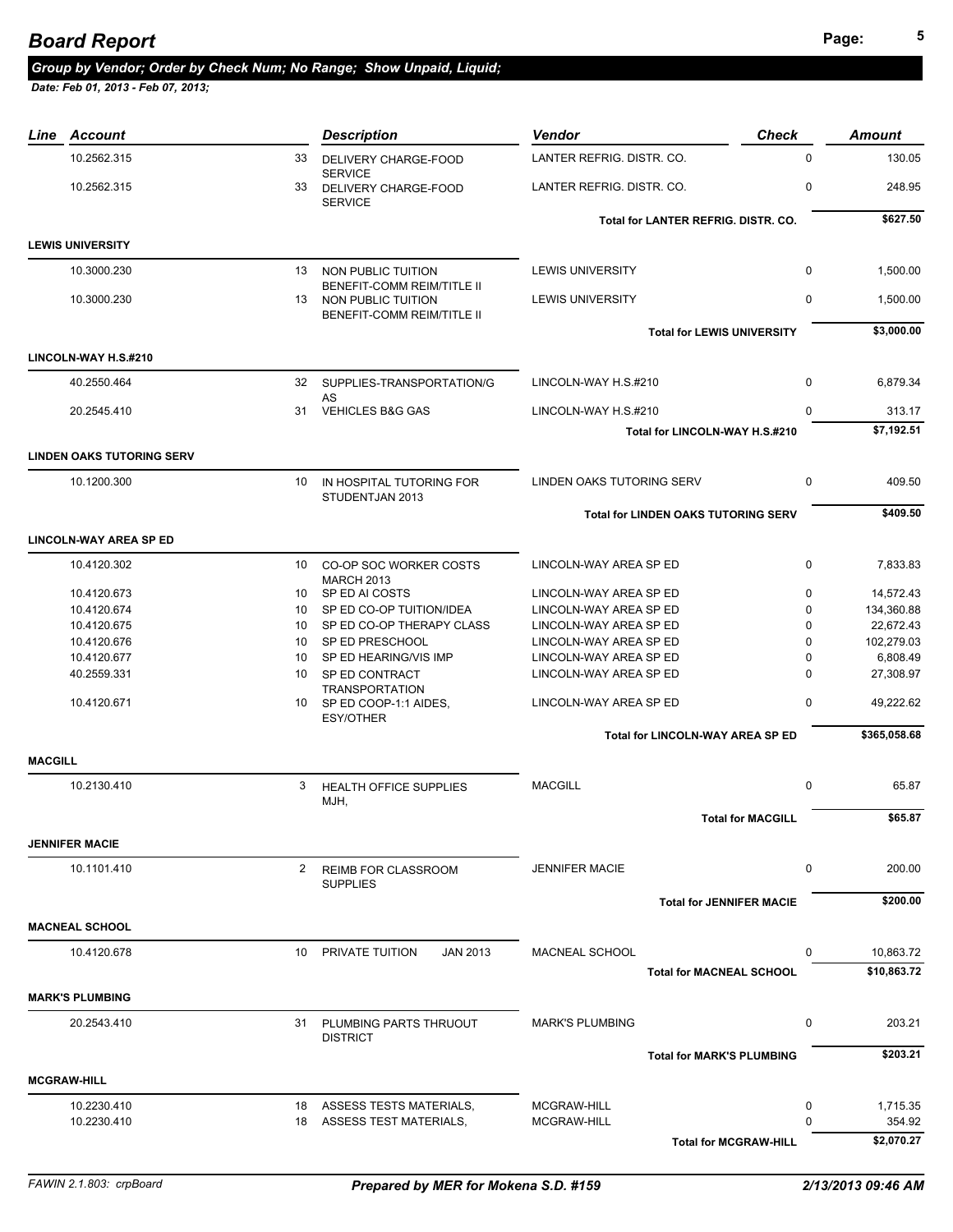|                | <b>Line Account</b>              |    | <b>Description</b>                                                    | Vendor                                     | <b>Check</b> | <b>Amount</b> |
|----------------|----------------------------------|----|-----------------------------------------------------------------------|--------------------------------------------|--------------|---------------|
|                | 10.2562.315                      | 33 | DELIVERY CHARGE-FOOD                                                  | LANTER REFRIG. DISTR. CO.                  | $\Omega$     | 130.05        |
|                | 10.2562.315                      | 33 | <b>SERVICE</b><br>DELIVERY CHARGE-FOOD<br><b>SERVICE</b>              | LANTER REFRIG. DISTR. CO.                  | $\mathbf 0$  | 248.95        |
|                |                                  |    |                                                                       | Total for LANTER REFRIG. DISTR. CO.        |              | \$627.50      |
|                |                                  |    |                                                                       |                                            |              |               |
|                | <b>LEWIS UNIVERSITY</b>          |    |                                                                       |                                            |              |               |
|                | 10.3000.230                      | 13 | NON PUBLIC TUITION<br>BENEFIT-COMM REIM/TITLE II                      | <b>LEWIS UNIVERSITY</b>                    | $\mathbf 0$  | 1,500.00      |
|                | 10.3000.230                      | 13 | NON PUBLIC TUITION<br>BENEFIT-COMM REIM/TITLE II                      | <b>LEWIS UNIVERSITY</b>                    | $\mathbf 0$  | 1,500.00      |
|                |                                  |    |                                                                       | <b>Total for LEWIS UNIVERSITY</b>          |              | \$3,000.00    |
|                | LINCOLN-WAY H.S.#210             |    |                                                                       |                                            |              |               |
|                |                                  |    |                                                                       |                                            |              |               |
|                | 40.2550.464                      | 32 | SUPPLIES-TRANSPORTATION/G<br>AS                                       | LINCOLN-WAY H.S.#210                       | $\mathbf 0$  | 6,879.34      |
|                | 20.2545.410                      | 31 | <b>VEHICLES B&amp;G GAS</b>                                           | LINCOLN-WAY H.S.#210                       | $\Omega$     | 313.17        |
|                |                                  |    |                                                                       | Total for LINCOLN-WAY H.S.#210             |              | \$7,192.51    |
|                |                                  |    |                                                                       |                                            |              |               |
|                | <b>LINDEN OAKS TUTORING SERV</b> |    |                                                                       |                                            |              |               |
|                | 10.1200.300                      | 10 | IN HOSPITAL TUTORING FOR<br>STUDENTJAN 2013                           | LINDEN OAKS TUTORING SERV                  | $\mathbf 0$  | 409.50        |
|                |                                  |    |                                                                       | <b>Total for LINDEN OAKS TUTORING SERV</b> |              | \$409.50      |
|                |                                  |    |                                                                       |                                            |              |               |
|                | <b>LINCOLN-WAY AREA SP ED</b>    |    |                                                                       |                                            |              |               |
|                | 10.4120.302                      | 10 | CO-OP SOC WORKER COSTS<br><b>MARCH 2013</b>                           | LINCOLN-WAY AREA SP ED                     | $\mathbf 0$  | 7,833.83      |
|                | 10.4120.673                      | 10 | SP ED AI COSTS                                                        | LINCOLN-WAY AREA SP ED                     | $\mathbf 0$  | 14,572.43     |
|                | 10.4120.674                      | 10 | SP ED CO-OP TUITION/IDEA                                              | LINCOLN-WAY AREA SP ED                     | $\Omega$     | 134,360.88    |
|                | 10.4120.675                      | 10 | SP ED CO-OP THERAPY CLASS                                             | LINCOLN-WAY AREA SP ED                     | $\mathbf 0$  | 22,672.43     |
|                | 10.4120.676                      | 10 | SP ED PRESCHOOL                                                       | LINCOLN-WAY AREA SP ED                     | $\mathbf 0$  | 102,279.03    |
|                | 10.4120.677                      | 10 | SP ED HEARING/VIS IMP                                                 | LINCOLN-WAY AREA SP ED                     | $\Omega$     | 6,808.49      |
|                | 40.2559.331                      | 10 | SP ED CONTRACT                                                        | LINCOLN-WAY AREA SP ED                     | $\Omega$     | 27,308.97     |
|                | 10.4120.671                      |    | <b>TRANSPORTATION</b><br>10 SP ED COOP-1:1 AIDES,<br><b>ESY/OTHER</b> | LINCOLN-WAY AREA SP ED                     | $\Omega$     | 49,222.62     |
|                |                                  |    |                                                                       | <b>Total for LINCOLN-WAY AREA SP ED</b>    |              | \$365,058.68  |
|                |                                  |    |                                                                       |                                            |              |               |
| <b>MACGILL</b> |                                  |    |                                                                       |                                            |              |               |
|                | 10.2130.410                      | 3  | <b>HEALTH OFFICE SUPPLIES</b><br>MJH,                                 | <b>MACGILL</b>                             | 0            | 65.87         |
|                |                                  |    |                                                                       | <b>Total for MACGILL</b>                   |              | \$65.87       |
|                | <b>JENNIFER MACIE</b>            |    |                                                                       |                                            |              |               |
|                | 10.1101.410                      | 2  | <b>REIMB FOR CLASSROOM</b>                                            | <b>JENNIFER MACIE</b>                      | 0            | 200.00        |
|                |                                  |    | <b>SUPPLIES</b>                                                       |                                            |              |               |
|                |                                  |    |                                                                       | <b>Total for JENNIFER MACIE</b>            |              | \$200.00      |
|                | <b>MACNEAL SCHOOL</b>            |    |                                                                       |                                            |              |               |
|                |                                  |    |                                                                       |                                            |              |               |
|                | 10.4120.678                      | 10 | PRIVATE TUITION<br><b>JAN 2013</b>                                    | <b>MACNEAL SCHOOL</b>                      | 0            | 10,863.72     |
|                |                                  |    |                                                                       | <b>Total for MACNEAL SCHOOL</b>            |              | \$10,863.72   |
|                | <b>MARK'S PLUMBING</b>           |    |                                                                       |                                            |              |               |
|                | 20.2543.410                      | 31 | PLUMBING PARTS THRUOUT                                                | <b>MARK'S PLUMBING</b>                     | 0            | 203.21        |
|                |                                  |    | <b>DISTRICT</b>                                                       |                                            |              |               |
|                |                                  |    |                                                                       | <b>Total for MARK'S PLUMBING</b>           |              | \$203.21      |
|                | <b>MCGRAW-HILL</b>               |    |                                                                       |                                            |              |               |
|                | 10.2230.410                      |    | 18 ASSESS TESTS MATERIALS,                                            | MCGRAW-HILL                                | 0            | 1,715.35      |
|                | 10.2230.410                      |    | 18 ASSESS TEST MATERIALS,                                             | MCGRAW-HILL                                | $\Omega$     | 354.92        |
|                |                                  |    |                                                                       |                                            |              |               |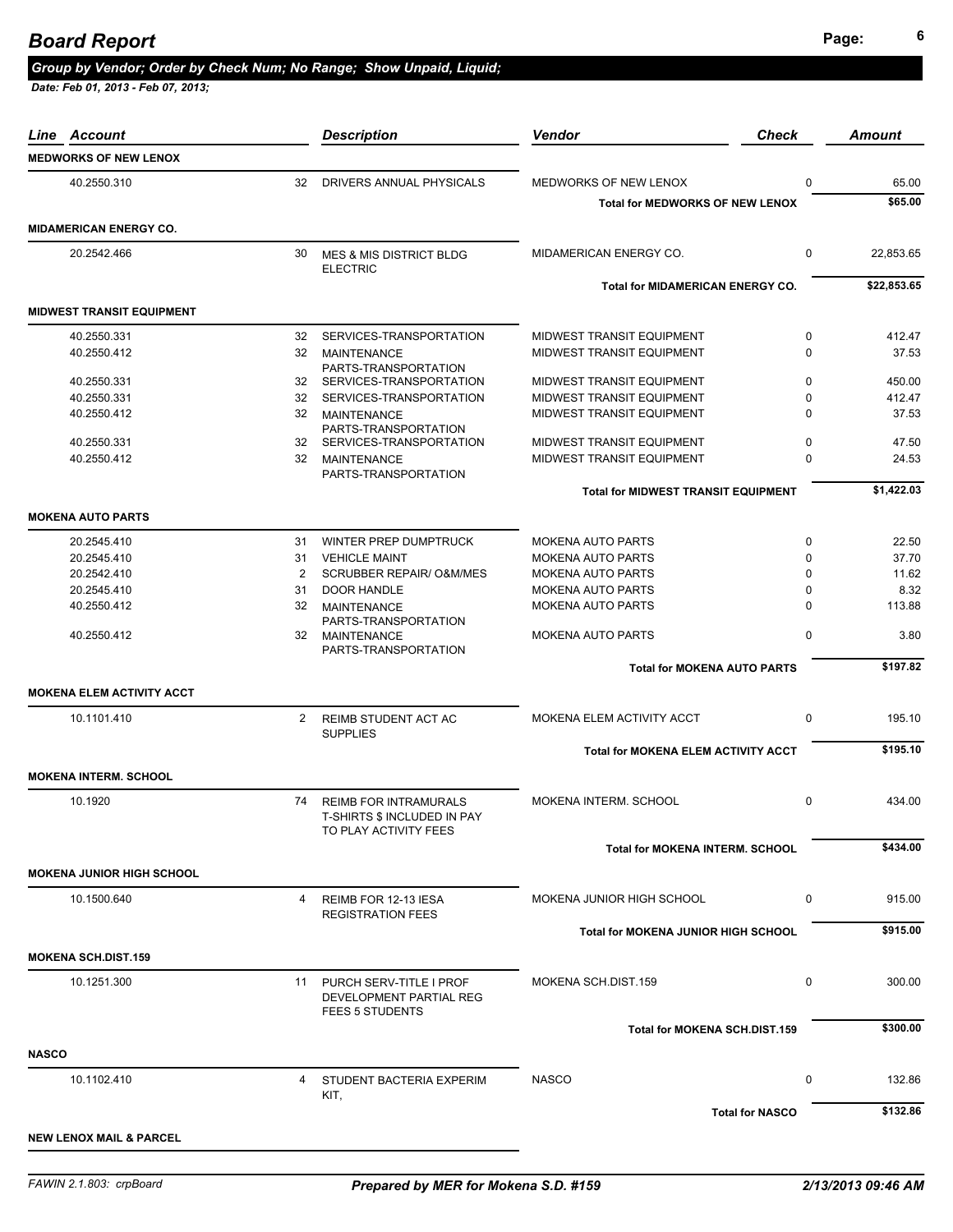## **Page: <sup>6</sup>** *Board Report*

## *Group by Vendor; Order by Check Num; No Range; Show Unpaid, Liquid;*

| Line<br>Account                    |    | <b>Description</b>                                                                   | Vendor                                     | <b>Check</b>           | Amount      |
|------------------------------------|----|--------------------------------------------------------------------------------------|--------------------------------------------|------------------------|-------------|
| <b>MEDWORKS OF NEW LENOX</b>       |    |                                                                                      |                                            |                        |             |
| 40.2550.310                        | 32 | DRIVERS ANNUAL PHYSICALS                                                             | MEDWORKS OF NEW LENOX                      | $\mathbf 0$            | 65.00       |
|                                    |    |                                                                                      | <b>Total for MEDWORKS OF NEW LENOX</b>     |                        | \$65.00     |
| <b>MIDAMERICAN ENERGY CO.</b>      |    |                                                                                      |                                            |                        |             |
| 20.2542.466                        |    | 30 MES & MIS DISTRICT BLDG<br><b>ELECTRIC</b>                                        | MIDAMERICAN ENERGY CO.                     | 0                      | 22,853.65   |
|                                    |    |                                                                                      | <b>Total for MIDAMERICAN ENERGY CO.</b>    |                        | \$22,853.65 |
| <b>MIDWEST TRANSIT EQUIPMENT</b>   |    |                                                                                      |                                            |                        |             |
| 40.2550.331                        | 32 | SERVICES-TRANSPORTATION                                                              | MIDWEST TRANSIT EQUIPMENT                  | $\mathbf 0$            | 412.47      |
| 40.2550.412                        | 32 | MAINTENANCE                                                                          | MIDWEST TRANSIT EQUIPMENT                  | $\mathbf 0$            | 37.53       |
|                                    |    | PARTS-TRANSPORTATION                                                                 |                                            |                        |             |
| 40.2550.331                        |    | 32 SERVICES-TRANSPORTATION                                                           | MIDWEST TRANSIT EQUIPMENT                  | 0                      | 450.00      |
| 40.2550.331                        | 32 | SERVICES-TRANSPORTATION                                                              | MIDWEST TRANSIT EQUIPMENT                  | 0                      | 412.47      |
| 40.2550.412                        |    | 32 MAINTENANCE<br>PARTS-TRANSPORTATION                                               | MIDWEST TRANSIT EQUIPMENT                  | 0                      | 37.53       |
| 40.2550.331                        | 32 | SERVICES-TRANSPORTATION                                                              | MIDWEST TRANSIT EQUIPMENT                  | 0                      | 47.50       |
| 40.2550.412                        | 32 | <b>MAINTENANCE</b><br>PARTS-TRANSPORTATION                                           | <b>MIDWEST TRANSIT EQUIPMENT</b>           | 0                      | 24.53       |
|                                    |    |                                                                                      | <b>Total for MIDWEST TRANSIT EQUIPMENT</b> |                        | \$1,422.03  |
| <b>MOKENA AUTO PARTS</b>           |    |                                                                                      |                                            |                        |             |
|                                    |    |                                                                                      |                                            |                        |             |
| 20.2545.410                        | 31 | WINTER PREP DUMPTRUCK                                                                | <b>MOKENA AUTO PARTS</b>                   | $\mathbf 0$            | 22.50       |
| 20.2545.410                        | 31 | <b>VEHICLE MAINT</b>                                                                 | <b>MOKENA AUTO PARTS</b>                   | $\mathbf 0$            | 37.70       |
| 20.2542.410                        | 2  | <b>SCRUBBER REPAIR/ O&amp;M/MES</b>                                                  | <b>MOKENA AUTO PARTS</b>                   | $\mathbf 0$            | 11.62       |
| 20.2545.410                        | 31 | <b>DOOR HANDLE</b>                                                                   | <b>MOKENA AUTO PARTS</b>                   | 0                      | 8.32        |
| 40.2550.412                        | 32 | <b>MAINTENANCE</b><br>PARTS-TRANSPORTATION                                           | <b>MOKENA AUTO PARTS</b>                   | 0                      | 113.88      |
| 40.2550.412                        | 32 | <b>MAINTENANCE</b><br>PARTS-TRANSPORTATION                                           | <b>MOKENA AUTO PARTS</b>                   | $\mathbf 0$            | 3.80        |
|                                    |    |                                                                                      | <b>Total for MOKENA AUTO PARTS</b>         |                        | \$197.82    |
| <b>MOKENA ELEM ACTIVITY ACCT</b>   |    |                                                                                      |                                            |                        |             |
| 10.1101.410                        | 2  | REIMB STUDENT ACT AC                                                                 | MOKENA ELEM ACTIVITY ACCT                  | $\mathbf 0$            | 195.10      |
|                                    |    | <b>SUPPLIES</b>                                                                      |                                            |                        |             |
|                                    |    |                                                                                      | <b>Total for MOKENA ELEM ACTIVITY ACCT</b> |                        | \$195.10    |
| <b>MOKENA INTERM. SCHOOL</b>       |    |                                                                                      |                                            |                        |             |
| 10.1920                            | 74 | <b>REIMB FOR INTRAMURALS</b><br>T-SHIRTS \$ INCLUDED IN PAY<br>TO PLAY ACTIVITY FEES | MOKENA INTERM. SCHOOL                      | $\mathbf 0$            | 434.00      |
|                                    |    |                                                                                      | <b>Total for MOKENA INTERM. SCHOOL</b>     |                        | \$434.00    |
| <b>MOKENA JUNIOR HIGH SCHOOL</b>   |    |                                                                                      |                                            |                        |             |
| 10.1500.640                        | 4  | REIMB FOR 12-13 IESA<br><b>REGISTRATION FEES</b>                                     | MOKENA JUNIOR HIGH SCHOOL                  | 0                      | 915.00      |
|                                    |    |                                                                                      | <b>Total for MOKENA JUNIOR HIGH SCHOOL</b> |                        | \$915.00    |
| <b>MOKENA SCH.DIST.159</b>         |    |                                                                                      |                                            |                        |             |
| 10.1251.300                        |    | 11 PURCH SERV-TITLE I PROF<br>DEVELOPMENT PARTIAL REG<br><b>FEES 5 STUDENTS</b>      | MOKENA SCH.DIST.159                        | $\mathbf 0$            | 300.00      |
|                                    |    |                                                                                      | <b>Total for MOKENA SCH.DIST.159</b>       |                        | \$300.00    |
| <b>NASCO</b>                       |    |                                                                                      |                                            |                        |             |
| 10.1102.410                        | 4  | STUDENT BACTERIA EXPERIM<br>KIT,                                                     | <b>NASCO</b>                               | 0                      | 132.86      |
|                                    |    |                                                                                      |                                            | <b>Total for NASCO</b> | \$132.86    |
|                                    |    |                                                                                      |                                            |                        |             |
| <b>NEW LENOX MAIL &amp; PARCEL</b> |    |                                                                                      |                                            |                        |             |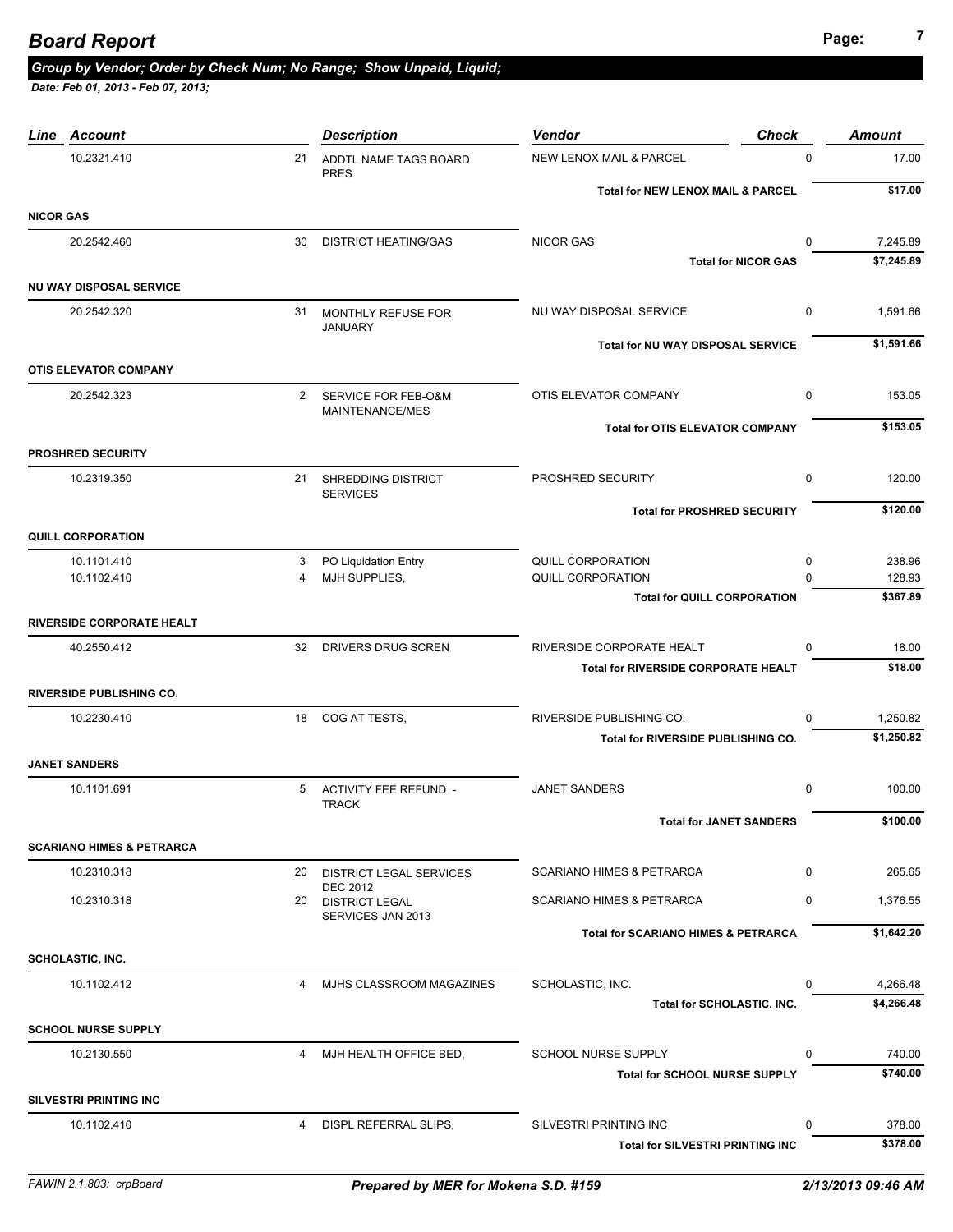|                  | Line Account                         |                | <b>Description</b>                                            | <b>Check</b><br><b>Vendor</b>                  |             | <b>Amount</b> |
|------------------|--------------------------------------|----------------|---------------------------------------------------------------|------------------------------------------------|-------------|---------------|
|                  | 10.2321.410                          | 21             | ADDTL NAME TAGS BOARD<br><b>PRES</b>                          | <b>NEW LENOX MAIL &amp; PARCEL</b>             | $\Omega$    | 17.00         |
|                  |                                      |                |                                                               | <b>Total for NEW LENOX MAIL &amp; PARCEL</b>   |             | \$17.00       |
| <b>NICOR GAS</b> |                                      |                |                                                               |                                                |             |               |
|                  | 20.2542.460                          | 30             | <b>DISTRICT HEATING/GAS</b>                                   | <b>NICOR GAS</b>                               | 0           | 7,245.89      |
|                  |                                      |                |                                                               | <b>Total for NICOR GAS</b>                     |             | \$7,245.89    |
|                  | NU WAY DISPOSAL SERVICE              |                |                                                               |                                                |             |               |
|                  | 20.2542.320                          | 31             | MONTHLY REFUSE FOR                                            | NU WAY DISPOSAL SERVICE                        | $\mathbf 0$ | 1,591.66      |
|                  |                                      |                | <b>JANUARY</b>                                                | Total for NU WAY DISPOSAL SERVICE              |             | \$1,591.66    |
|                  | <b>OTIS ELEVATOR COMPANY</b>         |                |                                                               |                                                |             |               |
|                  | 20.2542.323                          | $\overline{2}$ | SERVICE FOR FEB-O&M                                           | OTIS ELEVATOR COMPANY                          | $\mathbf 0$ | 153.05        |
|                  |                                      |                | MAINTENANCE/MES                                               |                                                |             |               |
|                  |                                      |                |                                                               | <b>Total for OTIS ELEVATOR COMPANY</b>         |             | \$153.05      |
|                  | <b>PROSHRED SECURITY</b>             |                |                                                               |                                                |             |               |
|                  | 10.2319.350                          | 21             | SHREDDING DISTRICT<br><b>SERVICES</b>                         | PROSHRED SECURITY                              | $\mathbf 0$ | 120.00        |
|                  |                                      |                |                                                               | <b>Total for PROSHRED SECURITY</b>             |             | \$120.00      |
|                  | <b>QUILL CORPORATION</b>             |                |                                                               |                                                |             |               |
|                  | 10.1101.410                          | 3              | PO Liquidation Entry                                          | <b>QUILL CORPORATION</b>                       | 0           | 238.96        |
|                  | 10.1102.410                          | $\overline{4}$ | MJH SUPPLIES,                                                 | <b>QUILL CORPORATION</b>                       | $\Omega$    | 128.93        |
|                  |                                      |                |                                                               | <b>Total for QUILL CORPORATION</b>             |             | \$367.89      |
|                  | <b>RIVERSIDE CORPORATE HEALT</b>     |                |                                                               |                                                |             |               |
|                  | 40.2550.412                          | 32             | DRIVERS DRUG SCREN                                            | RIVERSIDE CORPORATE HEALT                      | $\Omega$    | 18.00         |
|                  |                                      |                |                                                               | <b>Total for RIVERSIDE CORPORATE HEALT</b>     |             | \$18.00       |
|                  | <b>RIVERSIDE PUBLISHING CO.</b>      |                |                                                               |                                                |             |               |
|                  | 10.2230.410                          | 18             | COG AT TESTS,                                                 | RIVERSIDE PUBLISHING CO.                       | 0           | 1,250.82      |
|                  |                                      |                |                                                               | Total for RIVERSIDE PUBLISHING CO.             |             | \$1,250.82    |
|                  | <b>JANET SANDERS</b>                 |                |                                                               |                                                |             |               |
|                  | 10.1101.691                          |                | 5 ACTIVITY FEE REFUND -<br><b>TRACK</b>                       | <b>JANET SANDERS</b>                           | $\mathbf 0$ | 100.00        |
|                  |                                      |                |                                                               | <b>Total for JANET SANDERS</b>                 |             | \$100.00      |
|                  | <b>SCARIANO HIMES &amp; PETRARCA</b> |                |                                                               |                                                |             |               |
|                  | 10.2310.318                          | 20             | <b>DISTRICT LEGAL SERVICES</b>                                | <b>SCARIANO HIMES &amp; PETRARCA</b>           | $\mathbf 0$ | 265.65        |
|                  | 10.2310.318                          | 20             | <b>DEC 2012</b><br><b>DISTRICT LEGAL</b><br>SERVICES-JAN 2013 | <b>SCARIANO HIMES &amp; PETRARCA</b>           | 0           | 1,376.55      |
|                  |                                      |                |                                                               | <b>Total for SCARIANO HIMES &amp; PETRARCA</b> |             | \$1,642.20    |
|                  | <b>SCHOLASTIC, INC.</b>              |                |                                                               |                                                |             |               |
|                  | 10.1102.412                          | $\overline{4}$ | MJHS CLASSROOM MAGAZINES                                      | SCHOLASTIC, INC.                               | 0           | 4,266.48      |
|                  |                                      |                |                                                               | Total for SCHOLASTIC, INC.                     |             | \$4,266.48    |
|                  | <b>SCHOOL NURSE SUPPLY</b>           |                |                                                               |                                                |             |               |
|                  | 10.2130.550                          | $\overline{4}$ | MJH HEALTH OFFICE BED,                                        | <b>SCHOOL NURSE SUPPLY</b>                     | 0           | 740.00        |
|                  |                                      |                |                                                               | <b>Total for SCHOOL NURSE SUPPLY</b>           |             | \$740.00      |
|                  | <b>SILVESTRI PRINTING INC</b>        |                |                                                               |                                                |             |               |
|                  | 10.1102.410                          | 4              | DISPL REFERRAL SLIPS,                                         | SILVESTRI PRINTING INC                         | $\Omega$    | 378.00        |
|                  |                                      |                |                                                               | <b>Total for SILVESTRI PRINTING INC</b>        |             | \$378.00      |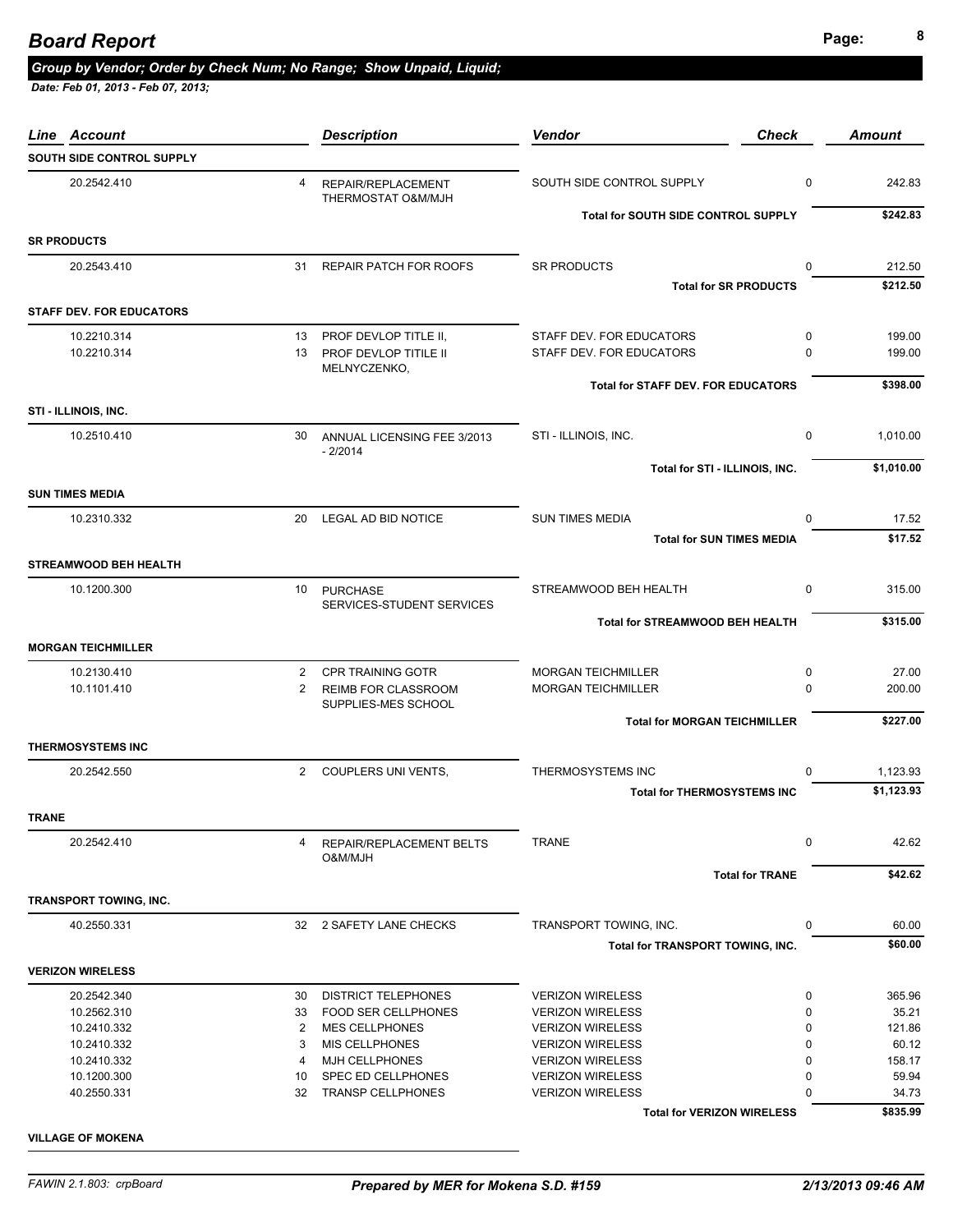## **Page: <sup>8</sup>** *Board Report*

## *Group by Vendor; Order by Check Num; No Range; Show Unpaid, Liquid;*

 *Date: Feb 01, 2013 - Feb 07, 2013;* 

| Line Account                    |                | <b>Description</b>                             | <b>Vendor</b><br><b>Check</b>                        |                            | Amount           |
|---------------------------------|----------------|------------------------------------------------|------------------------------------------------------|----------------------------|------------------|
| SOUTH SIDE CONTROL SUPPLY       |                |                                                |                                                      |                            |                  |
| 20.2542.410                     | $\overline{4}$ | REPAIR/REPLACEMENT<br>THERMOSTAT O&M/MJH       | SOUTH SIDE CONTROL SUPPLY                            | $\mathbf 0$                | 242.83           |
|                                 |                |                                                | Total for SOUTH SIDE CONTROL SUPPLY                  |                            | \$242.83         |
| <b>SR PRODUCTS</b>              |                |                                                |                                                      |                            |                  |
| 20.2543.410                     | 31             | <b>REPAIR PATCH FOR ROOFS</b>                  | <b>SR PRODUCTS</b>                                   | $\mathbf 0$                | 212.50           |
|                                 |                |                                                | <b>Total for SR PRODUCTS</b>                         |                            | \$212.50         |
| <b>STAFF DEV. FOR EDUCATORS</b> |                |                                                |                                                      |                            |                  |
|                                 |                |                                                |                                                      |                            |                  |
| 10.2210.314<br>10.2210.314      | 13<br>13       | PROF DEVLOP TITLE II,<br>PROF DEVLOP TITILE II | STAFF DEV. FOR EDUCATORS<br>STAFF DEV. FOR EDUCATORS | $\mathbf 0$<br>$\mathbf 0$ | 199.00<br>199.00 |
|                                 |                | MELNYCZENKO,                                   |                                                      |                            |                  |
|                                 |                |                                                | <b>Total for STAFF DEV. FOR EDUCATORS</b>            |                            | \$398.00         |
| STI - ILLINOIS, INC.            |                |                                                |                                                      |                            |                  |
| 10.2510.410                     | 30             | ANNUAL LICENSING FEE 3/2013                    | STI - ILLINOIS, INC.                                 | 0                          | 1,010.00         |
|                                 |                | $-2/2014$                                      |                                                      |                            |                  |
|                                 |                |                                                | Total for STI - ILLINOIS, INC.                       |                            | \$1,010.00       |
| <b>SUN TIMES MEDIA</b>          |                |                                                |                                                      |                            |                  |
| 10.2310.332                     | 20             | <b>LEGAL AD BID NOTICE</b>                     | <b>SUN TIMES MEDIA</b>                               | 0                          | 17.52            |
|                                 |                |                                                | <b>Total for SUN TIMES MEDIA</b>                     |                            | \$17.52          |
| <b>STREAMWOOD BEH HEALTH</b>    |                |                                                |                                                      |                            |                  |
| 10.1200.300                     | 10             |                                                | STREAMWOOD BEH HEALTH                                | $\mathbf 0$                | 315.00           |
|                                 |                | <b>PURCHASE</b><br>SERVICES-STUDENT SERVICES   |                                                      |                            |                  |
|                                 |                |                                                | <b>Total for STREAMWOOD BEH HEALTH</b>               |                            | \$315.00         |
| <b>MORGAN TEICHMILLER</b>       |                |                                                |                                                      |                            |                  |
| 10.2130.410                     | $\overline{2}$ | <b>CPR TRAINING GOTR</b>                       | <b>MORGAN TEICHMILLER</b>                            | 0                          | 27.00            |
| 10.1101.410                     | 2              | <b>REIMB FOR CLASSROOM</b>                     | <b>MORGAN TEICHMILLER</b>                            | $\mathbf 0$                | 200.00           |
|                                 |                | SUPPLIES-MES SCHOOL                            |                                                      |                            |                  |
|                                 |                |                                                | <b>Total for MORGAN TEICHMILLER</b>                  |                            | \$227.00         |
| <b>THERMOSYSTEMS INC</b>        |                |                                                |                                                      |                            |                  |
| 20.2542.550                     | $2^{\circ}$    | COUPLERS UNIVENTS,                             | THERMOSYSTEMS INC                                    | 0                          | 1,123.93         |
|                                 |                |                                                | <b>Total for THERMOSYSTEMS INC</b>                   |                            | \$1,123.93       |
| <b>TRANE</b>                    |                |                                                |                                                      |                            |                  |
| 20.2542.410                     | 4              | REPAIR/REPLACEMENT BELTS                       | TRANE                                                | 0                          | 42.62            |
|                                 |                | O&M/MJH                                        |                                                      |                            |                  |
|                                 |                |                                                | <b>Total for TRANE</b>                               |                            | \$42.62          |
| <b>TRANSPORT TOWING, INC.</b>   |                |                                                |                                                      |                            |                  |
| 40.2550.331                     |                | 32 2 SAFETY LANE CHECKS                        | TRANSPORT TOWING, INC.                               | $\mathbf 0$                | 60.00            |
|                                 |                |                                                | Total for TRANSPORT TOWING, INC.                     |                            | \$60.00          |
| <b>VERIZON WIRELESS</b>         |                |                                                |                                                      |                            |                  |
| 20.2542.340                     | 30             | <b>DISTRICT TELEPHONES</b>                     | <b>VERIZON WIRELESS</b>                              | 0                          | 365.96           |
| 10.2562.310                     | 33             | FOOD SER CELLPHONES                            | <b>VERIZON WIRELESS</b>                              | $\mathbf 0$                | 35.21            |
| 10.2410.332                     | 2              | <b>MES CELLPHONES</b>                          | <b>VERIZON WIRELESS</b>                              | $\mathbf 0$                | 121.86           |
| 10.2410.332                     | 3              | <b>MIS CELLPHONES</b>                          | <b>VERIZON WIRELESS</b>                              | 0                          | 60.12            |
| 10.2410.332                     | $\overline{4}$ | MJH CELLPHONES                                 | <b>VERIZON WIRELESS</b>                              | $\mathbf 0$                | 158.17           |
| 10.1200.300                     | 10             | SPEC ED CELLPHONES                             | <b>VERIZON WIRELESS</b>                              | 0                          | 59.94            |
| 40.2550.331                     | 32             | <b>TRANSP CELLPHONES</b>                       | <b>VERIZON WIRELESS</b>                              | $\Omega$                   | 34.73            |
|                                 |                |                                                |                                                      |                            |                  |

**VILLAGE OF MOKENA**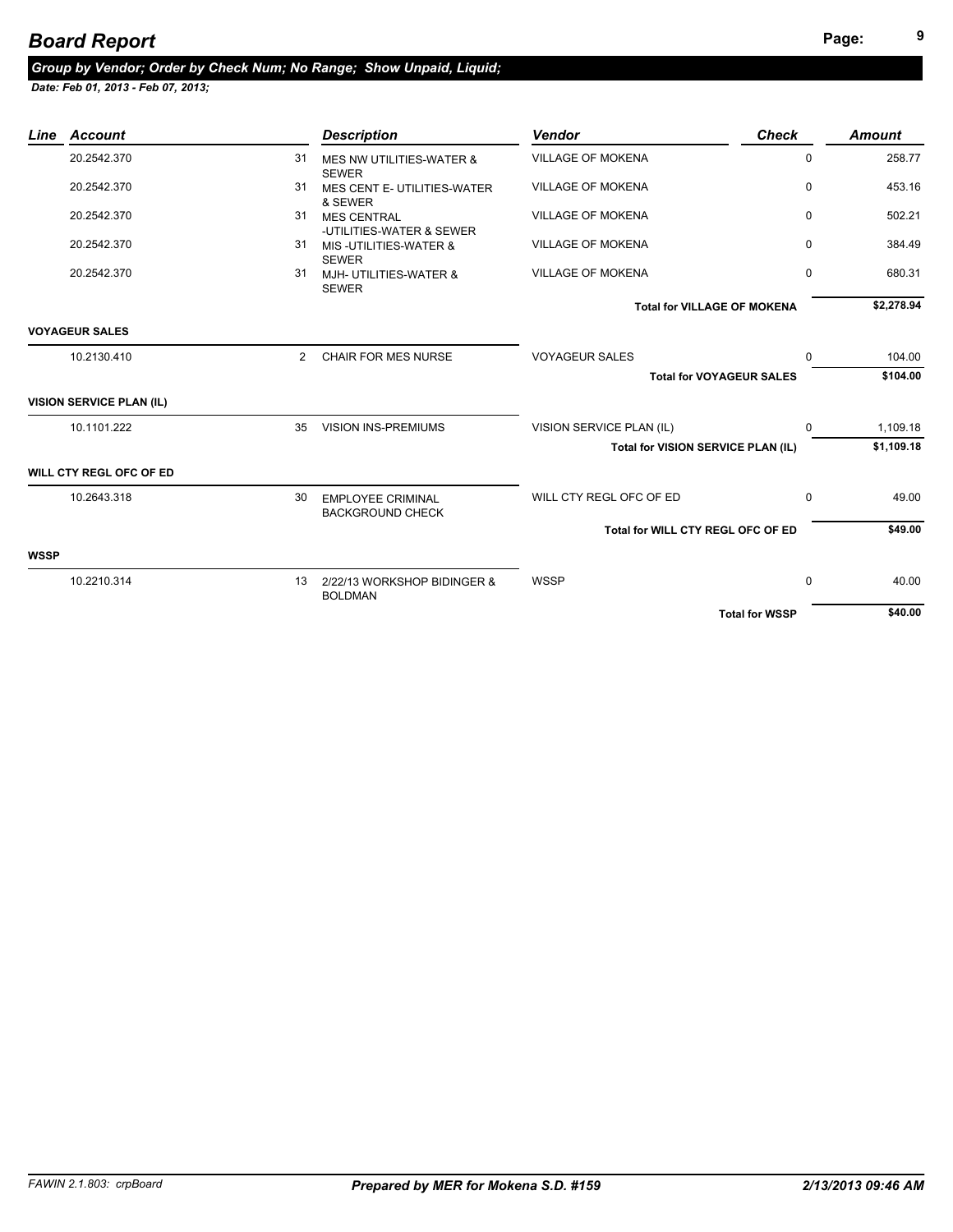# **Page: Page: 9** *Page:* **<b>9** *Page:* **Page: 9** *Page:* **9** *Page:* **9** *Page:* **<b>9** *Page:*

#### *Group by Vendor; Order by Check Num; No Range; Show Unpaid, Liquid;*

| Line        | Account                         |                | <b>Description</b>                                     | <b>Vendor</b>                      | <b>Check</b>                    | <b>Amount</b> |
|-------------|---------------------------------|----------------|--------------------------------------------------------|------------------------------------|---------------------------------|---------------|
|             | 20.2542.370                     | 31             | MES NW UTILITIES-WATER &                               | <b>VILLAGE OF MOKENA</b>           | $\mathbf 0$                     | 258.77        |
|             | 20.2542.370                     | 31             | <b>SEWER</b><br>MES CENT E- UTILITIES-WATER<br>& SEWER | <b>VILLAGE OF MOKENA</b>           | 0                               | 453.16        |
|             | 20.2542.370                     | 31             | <b>MES CENTRAL</b><br>-UTILITIES-WATER & SEWER         | <b>VILLAGE OF MOKENA</b>           | 0                               | 502.21        |
|             | 20.2542.370                     | 31             | MIS - UTILITIES-WATER &<br><b>SEWER</b>                | <b>VILLAGE OF MOKENA</b>           | $\mathbf{0}$                    | 384.49        |
|             | 20.2542.370                     |                | 31 MJH- UTILITIES-WATER &<br><b>SEWER</b>              | <b>VILLAGE OF MOKENA</b>           | 0                               | 680.31        |
|             |                                 |                |                                                        | <b>Total for VILLAGE OF MOKENA</b> |                                 | \$2,278.94    |
|             | <b>VOYAGEUR SALES</b>           |                |                                                        |                                    |                                 |               |
|             | 10.2130.410                     | $\overline{2}$ | <b>CHAIR FOR MES NURSE</b>                             | <b>VOYAGEUR SALES</b>              | $\Omega$                        | 104.00        |
|             |                                 |                |                                                        |                                    | <b>Total for VOYAGEUR SALES</b> | \$104.00      |
|             | <b>VISION SERVICE PLAN (IL)</b> |                |                                                        |                                    |                                 |               |
|             | 10.1101.222                     | 35             | VISION INS-PREMIUMS                                    | VISION SERVICE PLAN (IL)           | $\Omega$                        | 1,109.18      |
|             |                                 |                |                                                        | Total for VISION SERVICE PLAN (IL) |                                 | \$1,109.18    |
|             | WILL CTY REGL OFC OF ED         |                |                                                        |                                    |                                 |               |
|             | 10.2643.318                     | 30             | <b>EMPLOYEE CRIMINAL</b><br><b>BACKGROUND CHECK</b>    | WILL CTY REGL OFC OF ED            | $\mathbf{0}$                    | 49.00         |
|             |                                 |                |                                                        | Total for WILL CTY REGL OFC OF ED  |                                 | \$49.00       |
| <b>WSSP</b> |                                 |                |                                                        |                                    |                                 |               |
|             | 10.2210.314                     | 13             | 2/22/13 WORKSHOP BIDINGER &<br><b>BOLDMAN</b>          | <b>WSSP</b>                        | $\mathbf{0}$                    | 40.00         |
|             |                                 |                |                                                        |                                    | <b>Total for WSSP</b>           | \$40.00       |